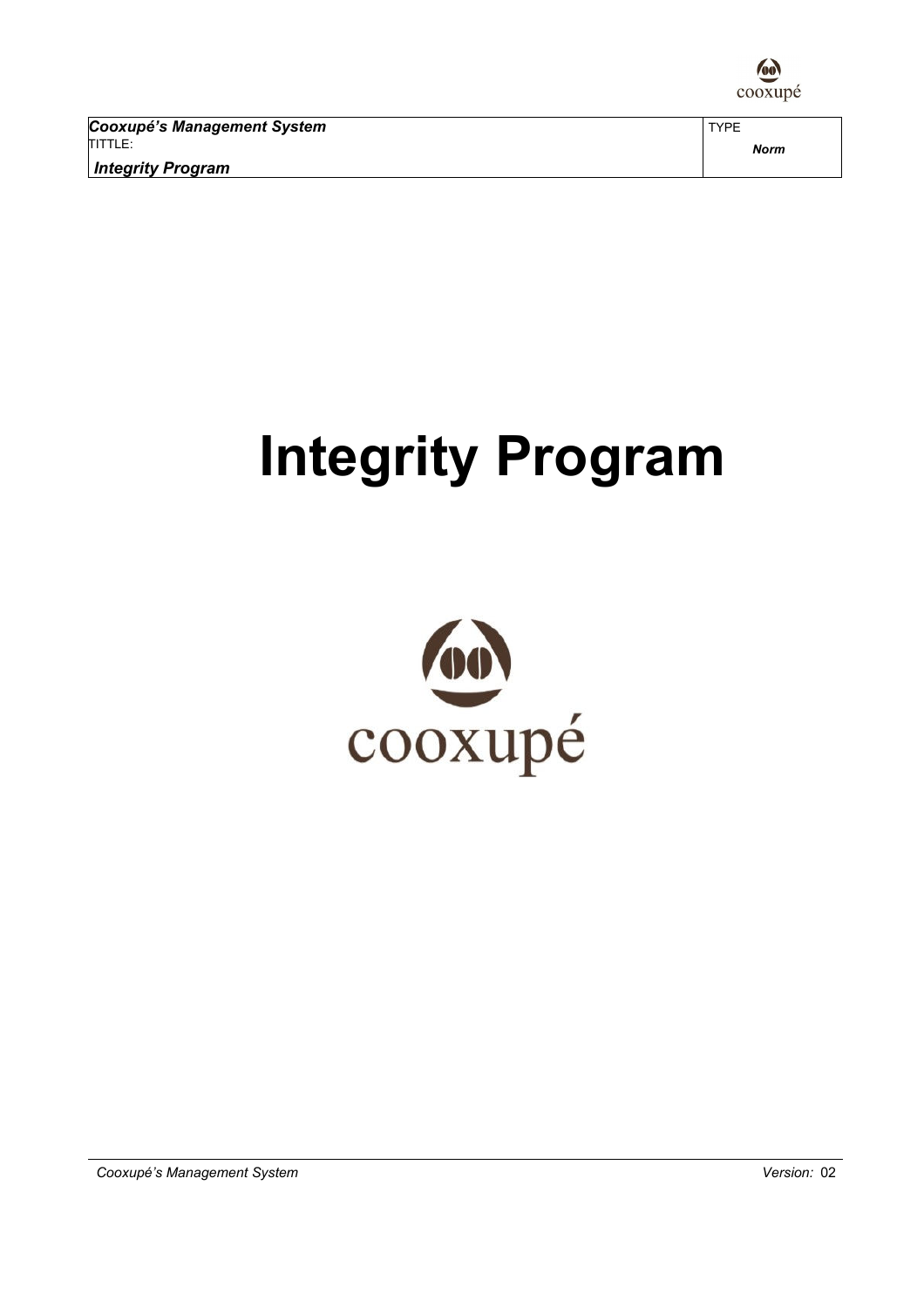

Cooxupé's Management System TITTLE: Integrity Program

# Integrity Program

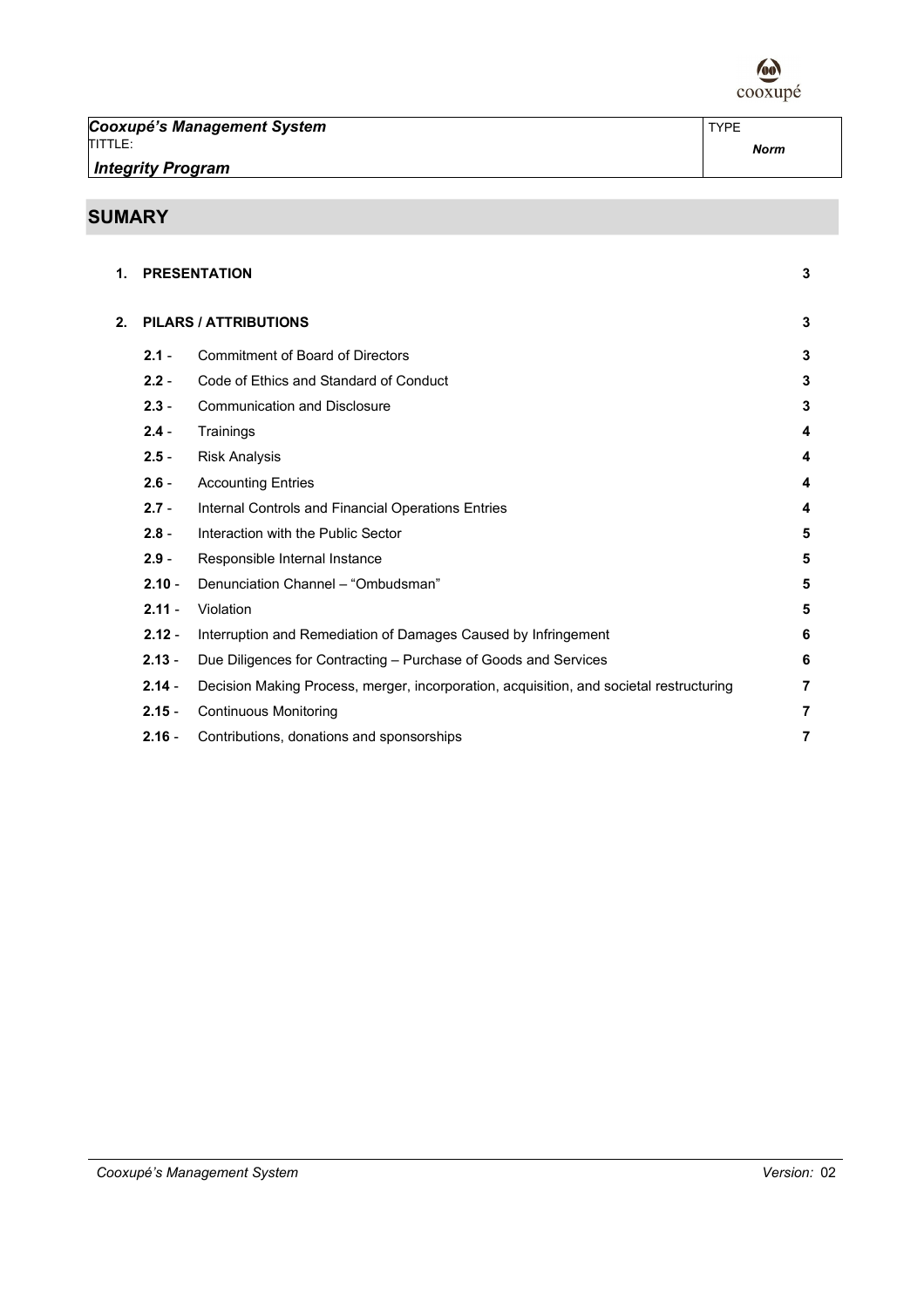

Cooxupé's Management System TITTLE: Integrity Program

## SUMARY

| 1. |          | <b>PRESENTATION</b>                                                                     | 3 |
|----|----------|-----------------------------------------------------------------------------------------|---|
| 2. |          | <b>PILARS / ATTRIBUTIONS</b>                                                            | 3 |
|    | $2.1 -$  | <b>Commitment of Board of Directors</b>                                                 | 3 |
|    | $2.2 -$  | Code of Ethics and Standard of Conduct                                                  | 3 |
|    | $2.3 -$  | <b>Communication and Disclosure</b>                                                     | 3 |
|    | $2.4 -$  | Trainings                                                                               | 4 |
|    | $2.5 -$  | <b>Risk Analysis</b>                                                                    | 4 |
|    | $2.6 -$  | <b>Accounting Entries</b>                                                               | 4 |
|    | $2.7 -$  | Internal Controls and Financial Operations Entries                                      | 4 |
|    | $2.8 -$  | Interaction with the Public Sector                                                      | 5 |
|    | $2.9 -$  | Responsible Internal Instance                                                           | 5 |
|    | $2.10 -$ | Denunciation Channel - "Ombudsman"                                                      | 5 |
|    | $2.11 -$ | Violation                                                                               | 5 |
|    | $2.12 -$ | Interruption and Remediation of Damages Caused by Infringement                          | 6 |
|    | $2.13 -$ | Due Diligences for Contracting - Purchase of Goods and Services                         | 6 |
|    | $2.14 -$ | Decision Making Process, merger, incorporation, acquisition, and societal restructuring | 7 |
|    | $2.15 -$ | <b>Continuous Monitoring</b>                                                            | 7 |
|    | $2.16 -$ | Contributions, donations and sponsorships                                               | 7 |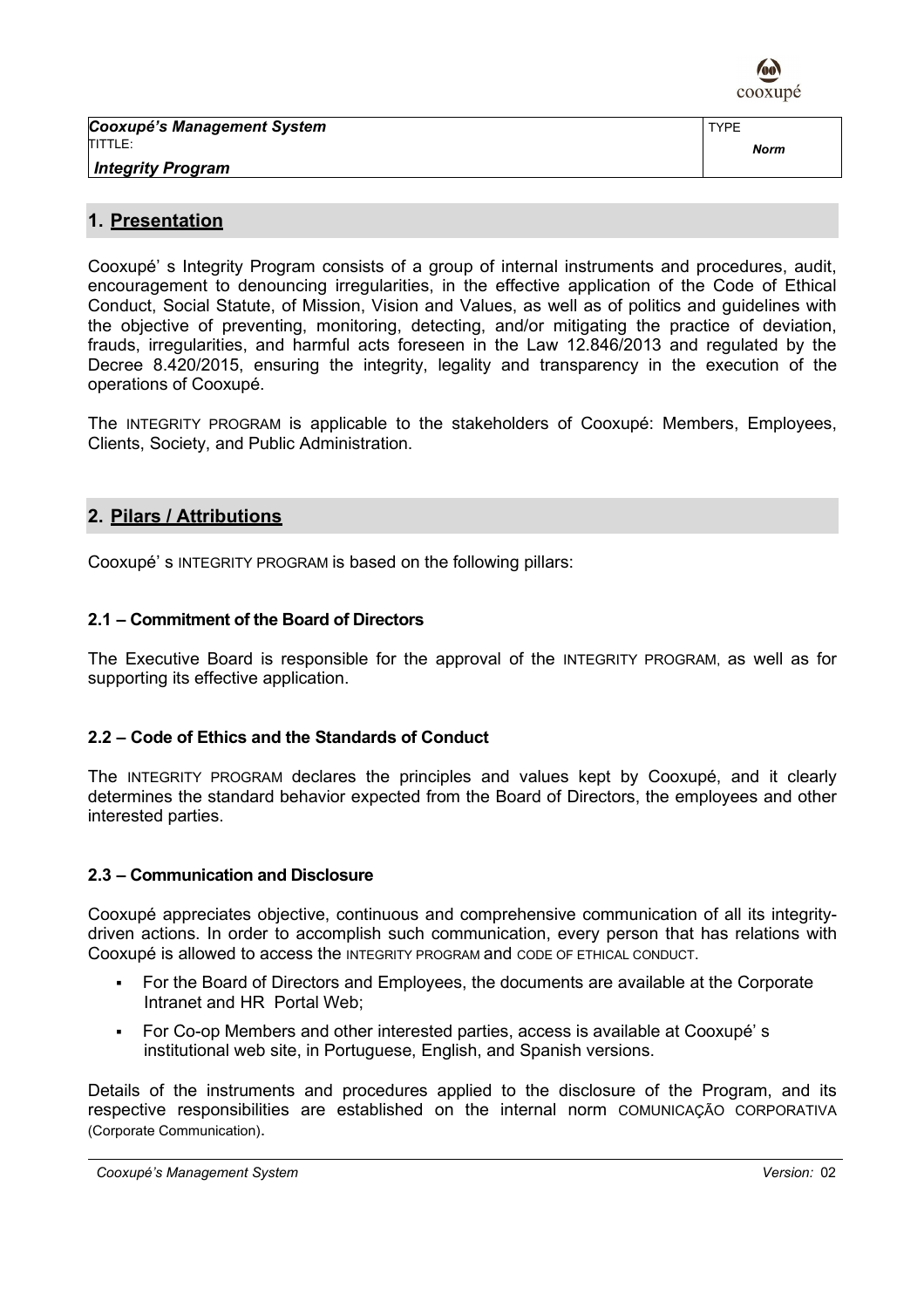

Cooxupé's Management System TITTLE: Integrity Program

## 1. Presentation

Cooxupé' s Integrity Program consists of a group of internal instruments and procedures, audit, encouragement to denouncing irregularities, in the effective application of the Code of Ethical Conduct, Social Statute, of Mission, Vision and Values, as well as of politics and guidelines with the objective of preventing, monitoring, detecting, and/or mitigating the practice of deviation, frauds, irregularities, and harmful acts foreseen in the Law 12.846/2013 and regulated by the Decree 8.420/2015, ensuring the integrity, legality and transparency in the execution of the operations of Cooxupé.

The INTEGRITY PROGRAM is applicable to the stakeholders of Cooxupé: Members, Employees, Clients, Society, and Public Administration.

## 2. Pilars / Attributions

Cooxupé' s INTEGRITY PROGRAM is based on the following pillars:

## 2.1 – Commitment of the Board of Directors

The Executive Board is responsible for the approval of the INTEGRITY PROGRAM, as well as for supporting its effective application.

## 2.2 – Code of Ethics and the Standards of Conduct

The INTEGRITY PROGRAM declares the principles and values kept by Cooxupé, and it clearly determines the standard behavior expected from the Board of Directors, the employees and other interested parties.

## 2.3 – Communication and Disclosure

Cooxupé appreciates objective, continuous and comprehensive communication of all its integritydriven actions. In order to accomplish such communication, every person that has relations with Cooxupé is allowed to access the INTEGRITY PROGRAM and CODE OF ETHICAL CONDUCT.

- For the Board of Directors and Employees, the documents are available at the Corporate Intranet and HR Portal Web;
- For Co-op Members and other interested parties, access is available at Cooxupé' s institutional web site, in Portuguese, English, and Spanish versions.

Details of the instruments and procedures applied to the disclosure of the Program, and its respective responsibilities are established on the internal norm COMUNICAÇÃO CORPORATIVA (Corporate Communication).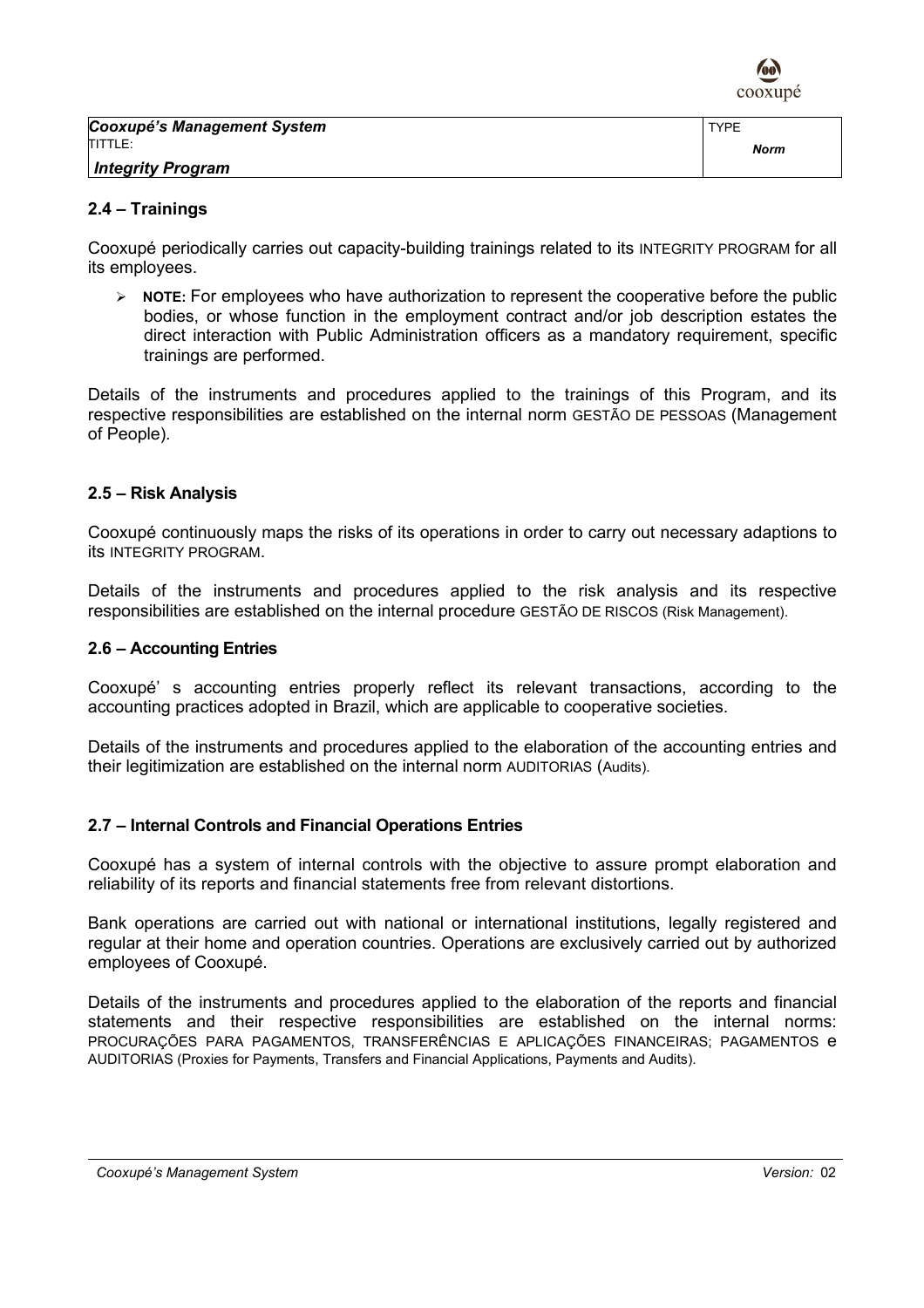

TYPE

## 2.4 – Trainings

Cooxupé periodically carries out capacity-building trainings related to its INTEGRITY PROGRAM for all its employees.

 $\triangleright$  **NOTE:** For employees who have authorization to represent the cooperative before the public bodies, or whose function in the employment contract and/or job description estates the direct interaction with Public Administration officers as a mandatory requirement, specific trainings are performed.

Details of the instruments and procedures applied to the trainings of this Program, and its respective responsibilities are established on the internal norm GESTÃO DE PESSOAS (Management of People).

## 2.5 – Risk Analysis

Cooxupé continuously maps the risks of its operations in order to carry out necessary adaptions to its INTEGRITY PROGRAM.

Details of the instruments and procedures applied to the risk analysis and its respective responsibilities are established on the internal procedure GESTÃO DE RISCOS (Risk Management).

## 2.6 – Accounting Entries

Cooxupé' s accounting entries properly reflect its relevant transactions, according to the accounting practices adopted in Brazil, which are applicable to cooperative societies.

Details of the instruments and procedures applied to the elaboration of the accounting entries and their legitimization are established on the internal norm AUDITORIAS (Audits).

## 2.7 – Internal Controls and Financial Operations Entries

Cooxupé has a system of internal controls with the objective to assure prompt elaboration and reliability of its reports and financial statements free from relevant distortions.

Bank operations are carried out with national or international institutions, legally registered and regular at their home and operation countries. Operations are exclusively carried out by authorized employees of Cooxupé.

Details of the instruments and procedures applied to the elaboration of the reports and financial statements and their respective responsibilities are established on the internal norms: PROCURAÇÕES PARA PAGAMENTOS, TRANSFERÊNCIAS E APLICAÇÕES FINANCEIRAS; PAGAMENTOS e AUDITORIAS (Proxies for Payments, Transfers and Financial Applications, Payments and Audits).

#### Cooxupé's Management System Version: 02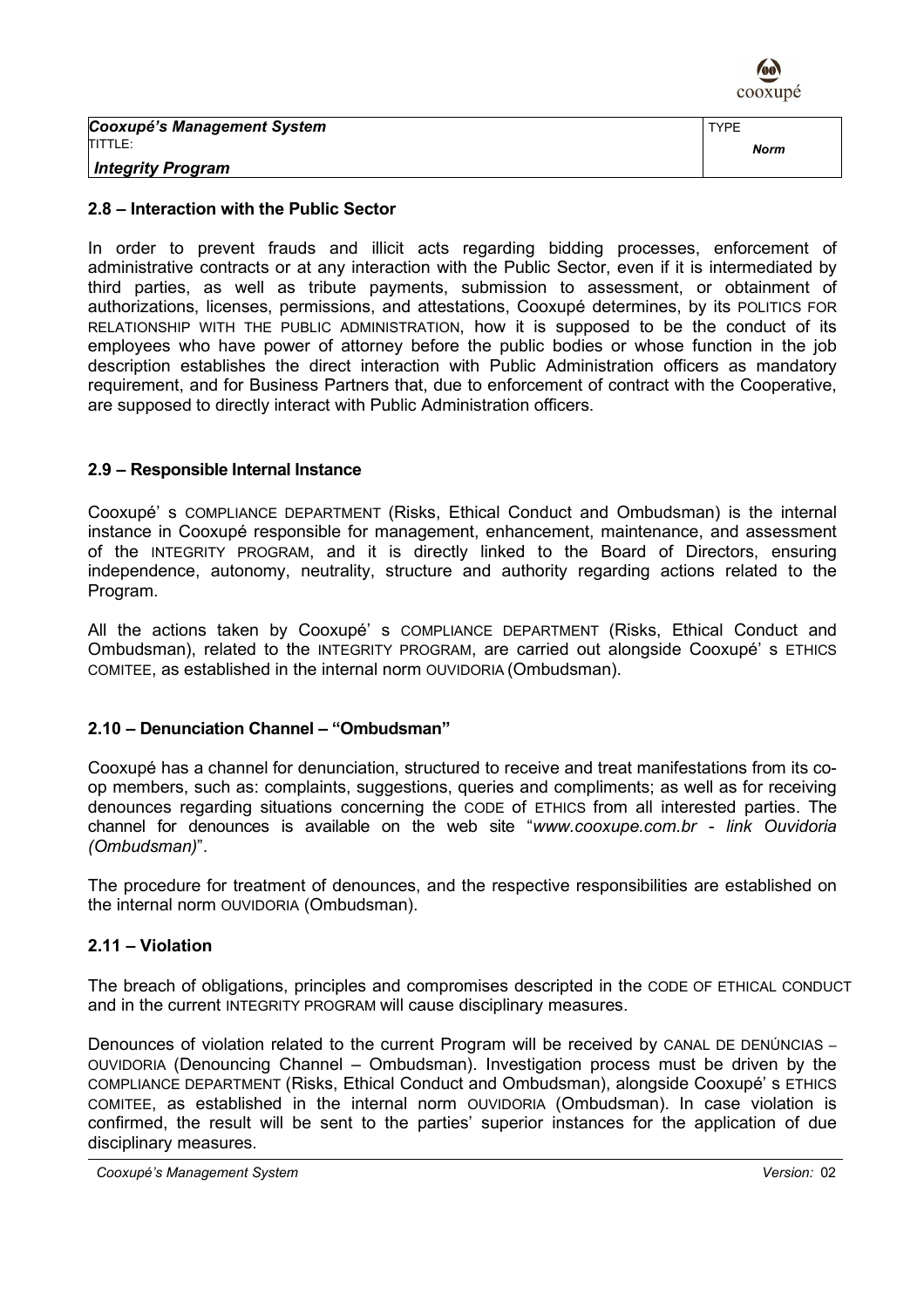

Cooxupé's Management System TITTLE:

Integrity Program

## 2.8 – Interaction with the Public Sector

In order to prevent frauds and illicit acts regarding bidding processes, enforcement of administrative contracts or at any interaction with the Public Sector, even if it is intermediated by third parties, as well as tribute payments, submission to assessment, or obtainment of authorizations, licenses, permissions, and attestations, Cooxupé determines, by its POLITICS FOR RELATIONSHIP WITH THE PUBLIC ADMINISTRATION, how it is supposed to be the conduct of its employees who have power of attorney before the public bodies or whose function in the job description establishes the direct interaction with Public Administration officers as mandatory requirement, and for Business Partners that, due to enforcement of contract with the Cooperative, are supposed to directly interact with Public Administration officers.

## 2.9 – Responsible Internal Instance

Cooxupé' s COMPLIANCE DEPARTMENT (Risks, Ethical Conduct and Ombudsman) is the internal instance in Cooxupé responsible for management, enhancement, maintenance, and assessment of the INTEGRITY PROGRAM, and it is directly linked to the Board of Directors, ensuring independence, autonomy, neutrality, structure and authority regarding actions related to the Program.

All the actions taken by Cooxupé' s COMPLIANCE DEPARTMENT (Risks, Ethical Conduct and Ombudsman), related to the INTEGRITY PROGRAM, are carried out alongside Cooxupé' s ETHICS COMITEE, as established in the internal norm OUVIDORIA (Ombudsman).

## 2.10 – Denunciation Channel – "Ombudsman"

Cooxupé has a channel for denunciation, structured to receive and treat manifestations from its coop members, such as: complaints, suggestions, queries and compliments; as well as for receiving denounces regarding situations concerning the CODE of ETHICS from all interested parties. The channel for denounces is available on the web site "www.cooxupe.com.br - link Ouvidoria (Ombudsman)".

The procedure for treatment of denounces, and the respective responsibilities are established on the internal norm OUVIDORIA (Ombudsman).

## 2.11 – Violation

The breach of obligations, principles and compromises descripted in the CODE OF ETHICAL CONDUCT and in the current INTEGRITY PROGRAM will cause disciplinary measures.

Denounces of violation related to the current Program will be received by CANAL DE DENÚNCIAS – OUVIDORIA (Denouncing Channel – Ombudsman). Investigation process must be driven by the COMPLIANCE DEPARTMENT (Risks, Ethical Conduct and Ombudsman), alongside Cooxupé' s ETHICS COMITEE, as established in the internal norm OUVIDORIA (Ombudsman). In case violation is confirmed, the result will be sent to the parties' superior instances for the application of due disciplinary measures.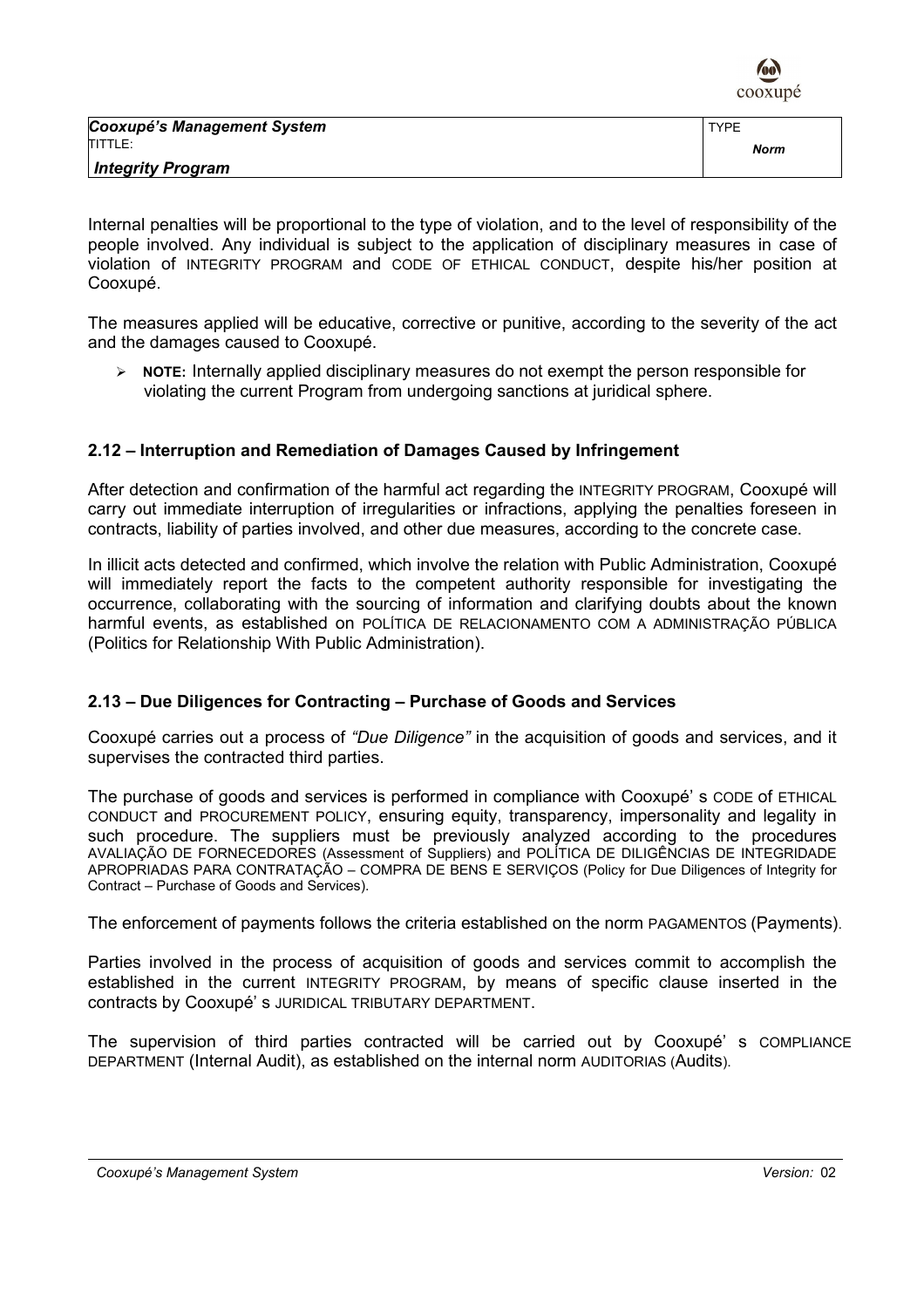

| Cooxupé's Management System | <b>TYPE</b> |
|-----------------------------|-------------|
| <b>ITITTLE:</b>             | Norm        |
| <b>Integrity Program</b>    |             |

Internal penalties will be proportional to the type of violation, and to the level of responsibility of the people involved. Any individual is subject to the application of disciplinary measures in case of violation of INTEGRITY PROGRAM and CODE OF ETHICAL CONDUCT, despite his/her position at Cooxupé.

The measures applied will be educative, corrective or punitive, according to the severity of the act and the damages caused to Cooxupé.

 $\triangleright$  NOTE: Internally applied disciplinary measures do not exempt the person responsible for violating the current Program from undergoing sanctions at juridical sphere.

## 2.12 – Interruption and Remediation of Damages Caused by Infringement

After detection and confirmation of the harmful act regarding the INTEGRITY PROGRAM, Cooxupé will carry out immediate interruption of irregularities or infractions, applying the penalties foreseen in contracts, liability of parties involved, and other due measures, according to the concrete case.

In illicit acts detected and confirmed, which involve the relation with Public Administration, Cooxupé will immediately report the facts to the competent authority responsible for investigating the occurrence, collaborating with the sourcing of information and clarifying doubts about the known harmful events, as established on POLÍTICA DE RELACIONAMENTO COM A ADMINISTRAÇÃO PÚBLICA (Politics for Relationship With Public Administration).

## 2.13 – Due Diligences for Contracting – Purchase of Goods and Services

Cooxupé carries out a process of "Due Diligence" in the acquisition of goods and services, and it supervises the contracted third parties.

The purchase of goods and services is performed in compliance with Cooxupé' s CODE of ETHICAL CONDUCT and PROCUREMENT POLICY, ensuring equity, transparency, impersonality and legality in such procedure. The suppliers must be previously analyzed according to the procedures AVALIAÇÃO DE FORNECEDORES (Assessment of Suppliers) and POLÍTICA DE DILIGÊNCIAS DE INTEGRIDADE APROPRIADAS PARA CONTRATAÇÃO – COMPRA DE BENS E SERVIÇOS (Policy for Due Diligences of Integrity for Contract – Purchase of Goods and Services).

The enforcement of payments follows the criteria established on the norm PAGAMENTOS (Payments).

Parties involved in the process of acquisition of goods and services commit to accomplish the established in the current INTEGRITY PROGRAM, by means of specific clause inserted in the contracts by Cooxupé' s JURIDICAL TRIBUTARY DEPARTMENT.

The supervision of third parties contracted will be carried out by Cooxupé' s COMPLIANCE DEPARTMENT (Internal Audit), as established on the internal norm AUDITORIAS (Audits).